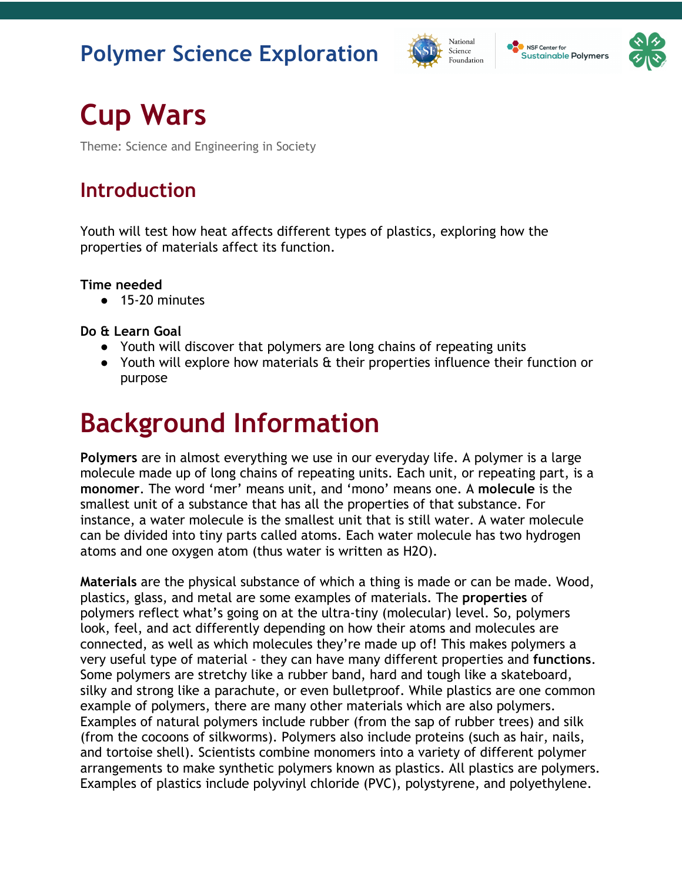#### **Polymer Science Exploration**





# **Cup Wars**

Theme: Science and Engineering in Society

#### **Introduction**

Youth will test how heat affects different types of plastics, exploring how the properties of materials affect its function.

#### **Time needed**

● 15-20 minutes

**Do & Learn Goal**

- Youth will discover that polymers are long chains of repeating units
- Youth will explore how materials & their properties influence their function or purpose

## **Background Information**

**Polymers** are in almost everything we use in our everyday life. A polymer is a large molecule made up of long chains of repeating units. Each unit, or repeating part, is a **monomer**. The word 'mer' means unit, and 'mono' means one. A **molecule** is the smallest unit of a substance that has all the properties of that substance. For instance, a water molecule is the smallest unit that is still water. A water molecule can be divided into tiny parts called atoms. Each water molecule has two hydrogen atoms and one oxygen atom (thus water is written as H2O).

**Materials** are the physical substance of which a thing is made or can be made. Wood, plastics, glass, and metal are some examples of materials. The **properties** of polymers reflect what's going on at the ultra-tiny (molecular) level. So, polymers look, feel, and act differently depending on how their atoms and molecules are connected, as well as which molecules they're made up of! This makes polymers a very useful type of material - they can have many different properties and **functions**. Some polymers are stretchy like a rubber band, hard and tough like a skateboard, silky and strong like a parachute, or even bulletproof. While plastics are one common example of polymers, there are many other materials which are also polymers. Examples of natural polymers include rubber (from the sap of rubber trees) and silk (from the cocoons of silkworms). Polymers also include proteins (such as hair, nails, and tortoise shell). Scientists combine monomers into a variety of different polymer arrangements to make synthetic polymers known as plastics. All plastics are polymers. Examples of plastics include polyvinyl chloride (PVC), polystyrene, and polyethylene.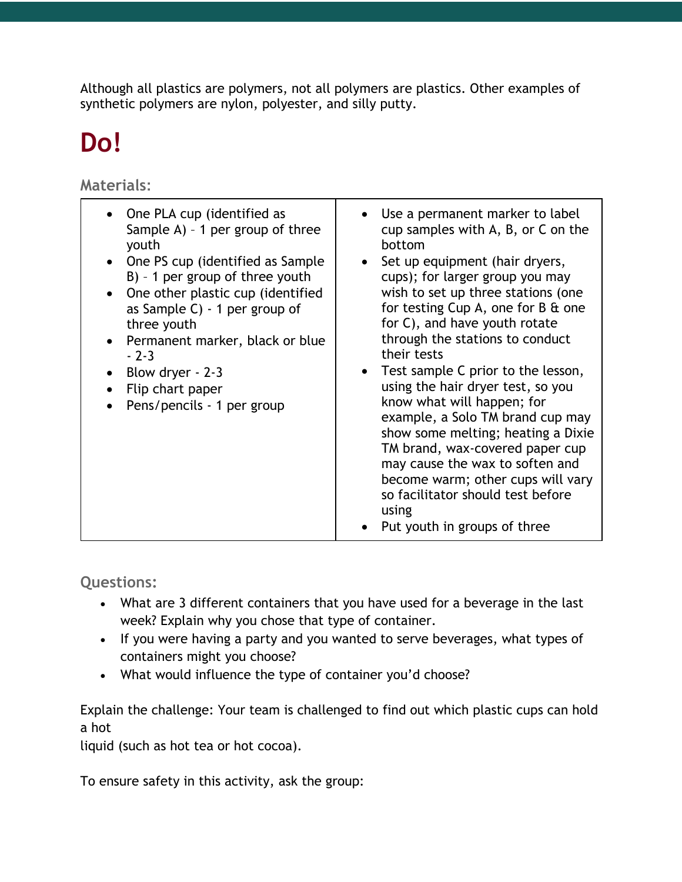Although all plastics are polymers, not all polymers are plastics. Other examples of synthetic polymers are nylon, polyester, and silly putty.

## **Do!**

**Materials:** 

| One PLA cup (identified as<br>Sample A) - 1 per group of three<br>youth<br>One PS cup (identified as Sample)<br>$B$ ) - 1 per group of three youth<br>One other plastic cup (identified<br>as Sample $C$ ) - 1 per group of<br>three youth<br>Permanent marker, black or blue<br>$-2-3$<br>Blow dryer - 2-3<br>Flip chart paper<br>Pens/pencils - 1 per group | Use a permanent marker to label<br>cup samples with A, B, or C on the<br>bottom<br>Set up equipment (hair dryers,<br>cups); for larger group you may<br>wish to set up three stations (one<br>for testing Cup A, one for B & one<br>for C), and have youth rotate<br>through the stations to conduct<br>their tests<br>Test sample C prior to the lesson,<br>using the hair dryer test, so you<br>know what will happen; for<br>example, a Solo TM brand cup may<br>show some melting; heating a Dixie<br>TM brand, wax-covered paper cup<br>may cause the wax to soften and<br>become warm; other cups will vary<br>so facilitator should test before<br>using |
|---------------------------------------------------------------------------------------------------------------------------------------------------------------------------------------------------------------------------------------------------------------------------------------------------------------------------------------------------------------|-----------------------------------------------------------------------------------------------------------------------------------------------------------------------------------------------------------------------------------------------------------------------------------------------------------------------------------------------------------------------------------------------------------------------------------------------------------------------------------------------------------------------------------------------------------------------------------------------------------------------------------------------------------------|
|                                                                                                                                                                                                                                                                                                                                                               | Put youth in groups of three                                                                                                                                                                                                                                                                                                                                                                                                                                                                                                                                                                                                                                    |

**Questions:**

- What are 3 different containers that you have used for a beverage in the last week? Explain why you chose that type of container.
- If you were having a party and you wanted to serve beverages, what types of containers might you choose?
- What would influence the type of container you'd choose?

Explain the challenge: Your team is challenged to find out which plastic cups can hold a hot

liquid (such as hot tea or hot cocoa).

To ensure safety in this activity, ask the group: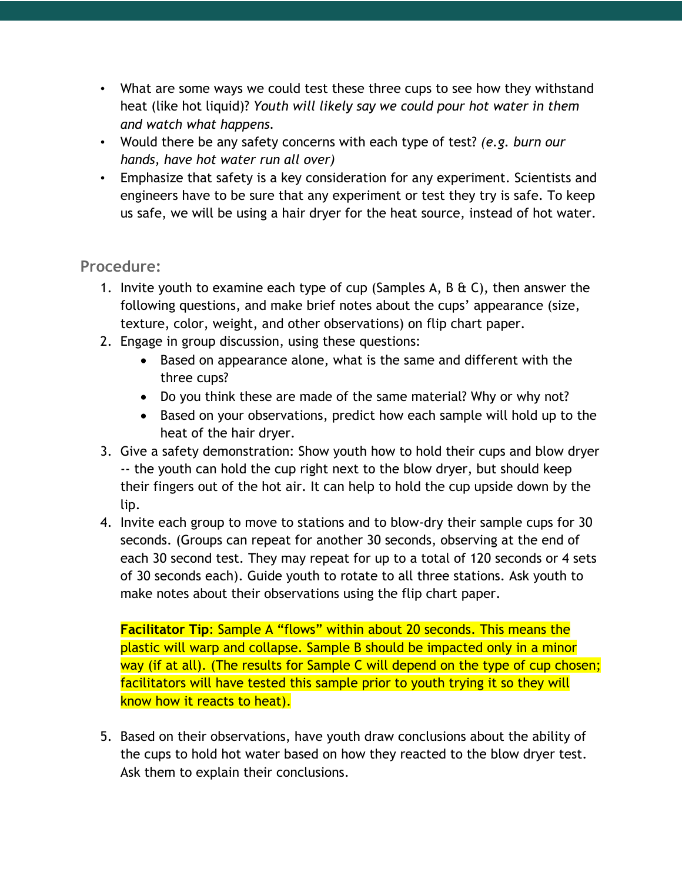- What are some ways we could test these three cups to see how they withstand heat (like hot liquid)? *Youth will likely say we could pour hot water in them and watch what happens.*
- Would there be any safety concerns with each type of test? *(e.g. burn our hands, have hot water run all over)*
- Emphasize that safety is a key consideration for any experiment. Scientists and engineers have to be sure that any experiment or test they try is safe. To keep us safe, we will be using a hair dryer for the heat source, instead of hot water.

#### **Procedure:**

- 1. Invite youth to examine each type of cup (Samples A, B  $\&$  C), then answer the following questions, and make brief notes about the cups' appearance (size, texture, color, weight, and other observations) on flip chart paper.
- 2. Engage in group discussion, using these questions:
	- Based on appearance alone, what is the same and different with the three cups?
	- Do you think these are made of the same material? Why or why not?
	- Based on your observations, predict how each sample will hold up to the heat of the hair dryer.
- 3. Give a safety demonstration: Show youth how to hold their cups and blow dryer -- the youth can hold the cup right next to the blow dryer, but should keep their fingers out of the hot air. It can help to hold the cup upside down by the lip.
- 4. Invite each group to move to stations and to blow-dry their sample cups for 30 seconds. (Groups can repeat for another 30 seconds, observing at the end of each 30 second test. They may repeat for up to a total of 120 seconds or 4 sets of 30 seconds each). Guide youth to rotate to all three stations. Ask youth to make notes about their observations using the flip chart paper.

**Facilitator Tip**: Sample A "flows" within about 20 seconds. This means the plastic will warp and collapse. Sample B should be impacted only in a minor way (if at all). (The results for Sample C will depend on the type of cup chosen; facilitators will have tested this sample prior to youth trying it so they will know how it reacts to heat).

5. Based on their observations, have youth draw conclusions about the ability of the cups to hold hot water based on how they reacted to the blow dryer test. Ask them to explain their conclusions.